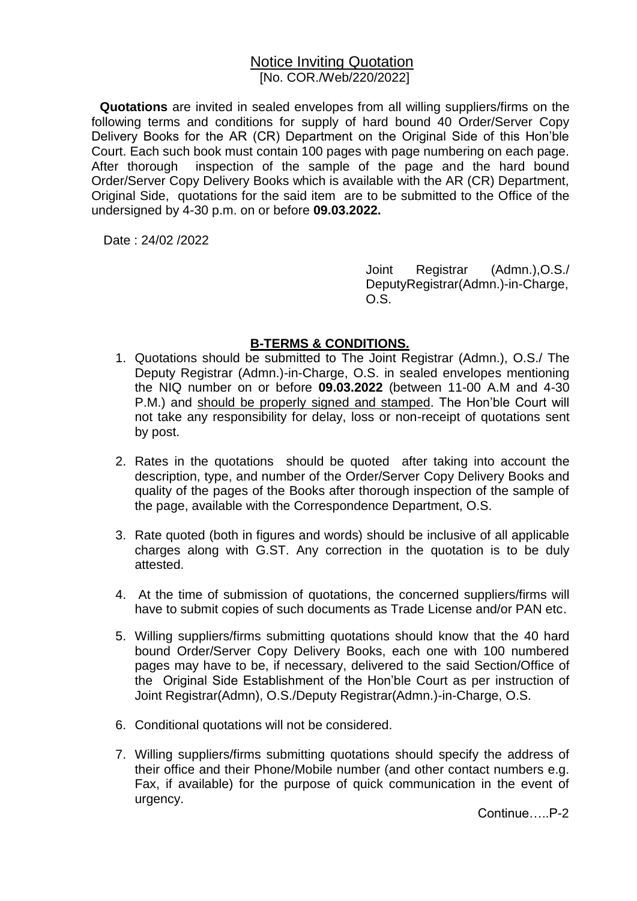## Notice Inviting Quotation [No. COR./Web/220/2022]

**Quotations** are invited in sealed envelopes from all willing suppliers/firms on the following terms and conditions for supply of hard bound 40 Order/Server Copy Delivery Books for the AR (CR) Department on the Original Side of this Hon'ble Court. Each such book must contain 100 pages with page numbering on each page. After thorough inspection of the sample of the page and the hard bound Order/Server Copy Delivery Books which is available with the AR (CR) Department, Original Side, quotations for the said item are to be submitted to the Office of the undersigned by 4-30 p.m. on or before **09.03.2022.**

Date : 24/02 /2022

Joint Registrar (Admn.),O.S./ DeputyRegistrar(Admn.)-in-Charge, O.S.

## **B-TERMS & CONDITIONS.**

- 1. Quotations should be submitted to The Joint Registrar (Admn.), O.S./ The Deputy Registrar (Admn.)-in-Charge, O.S. in sealed envelopes mentioning the NIQ number on or before **09.03.2022** (between 11-00 A.M and 4-30 P.M.) and should be properly signed and stamped. The Hon'ble Court will not take any responsibility for delay, loss or non-receipt of quotations sent by post.
- 2. Rates in the quotations should be quoted after taking into account the description, type, and number of the Order/Server Copy Delivery Books and quality of the pages of the Books after thorough inspection of the sample of the page, available with the Correspondence Department, O.S.
- 3. Rate quoted (both in figures and words) should be inclusive of all applicable charges along with G.ST. Any correction in the quotation is to be duly attested.
- 4. At the time of submission of quotations, the concerned suppliers/firms will have to submit copies of such documents as Trade License and/or PAN etc.
- 5. Willing suppliers/firms submitting quotations should know that the 40 hard bound Order/Server Copy Delivery Books, each one with 100 numbered pages may have to be, if necessary, delivered to the said Section/Office of the Original Side Establishment of the Hon'ble Court as per instruction of Joint Registrar(Admn), O.S./Deputy Registrar(Admn.)-in-Charge, O.S.
- 6. Conditional quotations will not be considered.
- 7. Willing suppliers/firms submitting quotations should specify the address of their office and their Phone/Mobile number (and other contact numbers e.g. Fax, if available) for the purpose of quick communication in the event of urgency.